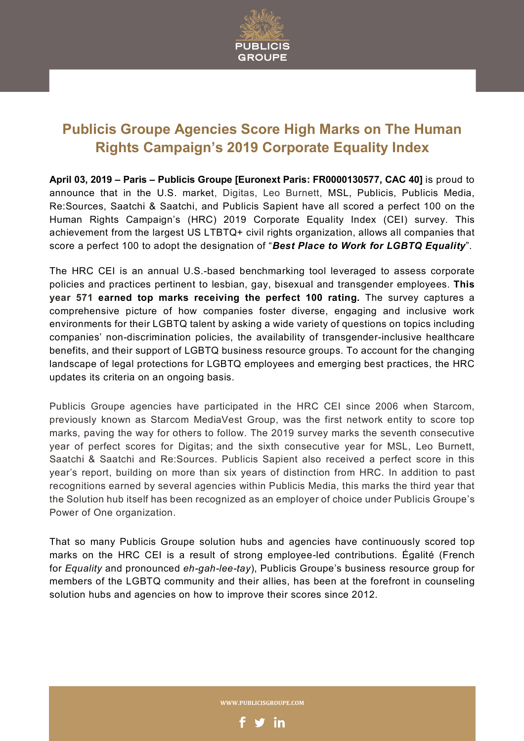

## **Publicis Groupe Agencies Score High Marks on The Human Rights Campaign's 2019 Corporate Equality Index**

**April 03, 2019 – Paris – Publicis Groupe [Euronext Paris: FR0000130577, CAC 40]** is proud to announce that in the U.S. market, Digitas, Leo Burnett, MSL, Publicis, Publicis Media, Re:Sources, Saatchi & Saatchi, and Publicis Sapient have all scored a perfect 100 on the Human Rights Campaign's (HRC) 2019 Corporate Equality Index (CEI) survey. This achievement from the largest US LTBTQ+ civil rights organization, allows all companies that score a perfect 100 to adopt the designation of "*Best Place to Work for LGBTQ Equality*".

The HRC CEI is an annual U.S.-based benchmarking tool leveraged to assess corporate policies and practices pertinent to lesbian, gay, bisexual and transgender employees. **This year 571 earned top marks receiving the perfect 100 rating.** The survey captures a comprehensive picture of how companies foster diverse, engaging and inclusive work environments for their LGBTQ talent by asking a wide variety of questions on topics including companies' non-discrimination policies, the availability of transgender-inclusive healthcare benefits, and their support of LGBTQ business resource groups. To account for the changing landscape of legal protections for LGBTQ employees and emerging best practices, the HRC updates its criteria on an ongoing basis.

Publicis Groupe agencies have participated in the HRC CEI since 2006 when Starcom, previously known as Starcom MediaVest Group, was the first network entity to score top marks, paving the way for others to follow. The 2019 survey marks the seventh consecutive year of perfect scores for Digitas; and the sixth consecutive year for MSL, Leo Burnett, Saatchi & Saatchi and Re:Sources. Publicis Sapient also received a perfect score in this year's report, building on more than six years of distinction from HRC. In addition to past recognitions earned by several agencies within Publicis Media, this marks the third year that the Solution hub itself has been recognized as an employer of choice under Publicis Groupe's Power of One organization.

That so many Publicis Groupe solution hubs and agencies have continuously scored top marks on the HRC CEI is a result of strong employee-led contributions. Égalité (French for *Equality* and pronounced *eh-gah-lee-tay*), Publicis Groupe's business resource group for members of the LGBTQ community and their allies, has been at the forefront in counseling solution hubs and agencies on how to improve their scores since 2012.

WWW.PUBLICISGROUPE.COM